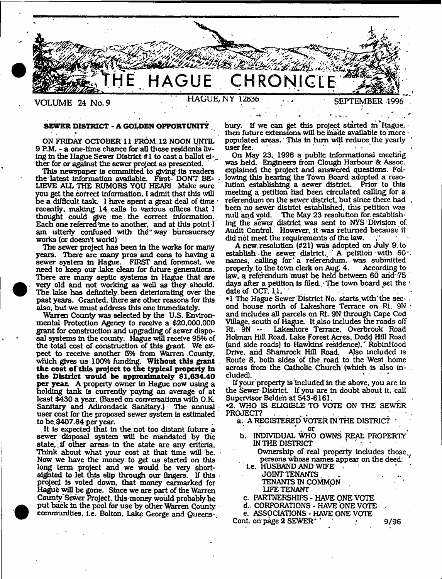

9 P.M. - a one-time chance for all those residents liv-<br>ing in the Hague Sewer District #1 to cast a ballot ei-

the latest information available. First-DONT BE- - lowing this hearing the Town Board adopted a reso-<br>LIEVE ALL THE RUMORS YOU HEARL Make sure - lution establishing a sewer district. Prior to this LIEVE ALL THE RUMORS YOU HEAR! Make sure be a difficult task. I have spent a great deal of time  $\cdot$  referendum on the sewer district, but since there had<br>recently, making 14 calls to various offices that I been no sewer district established, this petition was recently, making 14 calls to various offices that I been no sewer district established, this petition was<br>thought, could give me the correct information. I hull and void. The May 23 resolution for establishthought could give me the correct information. am utterly confused with the way bureaucracy works (or doesn't work!) did not meet the requirements of the law.

years. There are many pros and cons to having a establish the sewer district. A petition with 60<br>sewer system in Hague. FIRST and foremost, we hames, calling for a referendum, was submitted sewer system in Hague. FIRST and foremost, we names, calling for a referendum, was submitted<br>need to keep our lake clean for future generations. Properly to the town clerk on Aug. 4. According to need to keep our .lake clean for future generations. There are many septic systems in Hague that are law, a referendum must be held between 60 and 75 The, lake has definitely, been deteriorating over the date of OCT,  $11$ ,  $\overline{1}$ , and  $\overline{1}$  and  $\overline{1}$  and  $\overline{1}$  and  $\overline{1}$  and  $\overline{1}$  and  $\overline{1}$  and  $\overline{1}$  and  $\overline{1}$  and  $\overline{1}$  and  $\overline{1}$  and  $\overline$ past years. Granted, there are other reasons for this

**•**

**•**

mental Protection Agency to receive a \$20,000,000 Village, south of Hague. It also includes the roads off<br>grant for construction and upgrading of sewer dispo-<br>R. 9N -- Lakeshore Terrace, Overbrook Road grant for construction and upgrading of sewer dispo- Rt. 9N — Lakeshore Terrace, Overbrook Road<br>sal systems in the county. Hague will receive 95% of Holman Hill Road, Lake Forest Acres, Dodd Hill Road sal systems in the county. Hague will receive 95% of Holman Hill Road, Lake Forest Acres, Dodd Hill Road<br>the total cost of construction of this grant. We ex- (and side roads) to Hawkins residence), RobinHood the total cost of construction of this grant. We ex- (and side roads) to Hawkins residence), RobinHood to receive another 5% from Warren County. Drive, and Shamrock Hill Road, Also included is pect to receive another 5% from Warren County, **the cost of this project to the typical property in** across in the Church (which in**the District would be approximately \$1,634.40** eluded). **per year.** A property owner in Hague now using a If your property is included in the above, you are in holding tank is currently paying an average of at the Sewer District. If you are in doubt about it, call holding tank is currently paying an average of at the Sewer District. If you are i<br>least \$430 a vear. (Based on conversations with O.K. Supervisor Belden at 543-6161. least \$430 a year. (Based on conversations with O.K. Sanitary and Adirondack Sanitary.) The annual •2. WHO IS ELIGIBLE TO VOTE ON THE SEWER user cost for the proposed sewer system is estimated PROJECT? user cost for the proposed sewer system is estimated to be \$407.84 per year. The state of the state of the AREGISTERED VOTER IN THE DISTRICT

It is expected that in the not too distant future a  $\frac{1}{100}$  or  $\frac{1}{100}$  or the  $\frac{1}{100}$  owns REAL PROPERTY sewer disposal system will be mandated by the b. INDIVIDUAL WHO state. if other areas in the state are any criteria. state, if other areas in the state are any criteria. IN THE DISTRICT<br>Think about what your cost at that time will be. Ownership of real property includes those Think about what your cost at that time will be. Ownership of real property includes those<br>Now we have the money to get us started on this errors whose names appear on the deed: Now we have the money to get us started on this persons whose names long term project and we would be very short- i.e. HUSBAND AND WIFE long term project and we would be very short- i.e. HUSBAND AND Wardful and the would be very short- i.e. HUSBAND AND W sighted to let this slip through our fingers. If this  $\sim$  JOINT TENANTS N COMMON project is voted down, that money earmarked for TENANTS IN COMMON project is voted down, that money earmarked for TENANTS IN COMMUNIS IN COMMUNISMENT COMMUNISMENT COMMUNISMENT COMMUNISMENT COMMUNISMENT COMMUNISMENT COMMUNISMENT COMMUNISMENT COMMUNISMENT COMMUNISMENT COMMUNISMENT COMMUNIS Hague will be gone. Since we are part of the Warren LIFE TENANT<br>County Sewer Project, this money would probably be c. PARTNERSHIPS - HAVE ONE VOTE County Sewer Project, this money would probably be put back in the pool for use by other Warren County  $\cdot$  d. CORPORATIONS - HAVE ONE VOTE communities, i.e. Bolton, Lake George and Queens- e. ASSOCIATIONS - HAVE ONE VOTE

**SEWER DISTRICT - A GOLDEN OPPORTUNITY** bury. If we can get this project started in Hague, then future extensions will be made available to more ON FRIDAY OCTOBER 11 FROM 12 NOON UNTIL populated areas. This in turn will reduce the yearly  $PM = 2$  one-time chance for all those residents live. user fee.

On May 23, 1996 a public informational meeting ther for or against the sewer project as presented. was held. Engineers from Clough Harbour & Assoc. This newspaper is committed to giving its readers explained the project and answered questions. Fol-<br>ie latest information available. First-DONT BE- lowing this hearing the Town Board adopted a resoyou get the correct information. I admit that this will meeting a petition had been circulated calling for a been alling for a been district, but since there had Each one referred me to another, and at this point I ing the sewer district was sent to NYS: Division of, am utterly confused with the way bureaucracy. Audit Control. However, it was returned because it

The sewer project has been in the works for many A new resolution (#21) was adopted on July 9, to<br>cars. There are many pros and cons to having a establish the sewer district. A petition with 60 very old and not working as well as they should, days after a petition is filed. The town board set the '<br>The lake has definitely been deteriorating over the date of OCT, 11.

also, but we must address this one immediately. ond house north of Lakeshore Terrace on Rt. 9N and warren County was selected by the U.S. Environ- and includes all parcels on Rt. 9N through Cape Cod Warren County was selected by the U.S. Environ- and includes all parcels on Rt. 9N through Cape Cod which gives us 100% funding. **Without this grant** Route 8, both sides of the road to the West home<br>the cost of this project to the typical property in across from the Catholic Church (which is also in-

- 
- 

- 
- 
- 
- Cont. on page  $2$  SEWER $^{\prime\prime}$  and  $\prime$  9/96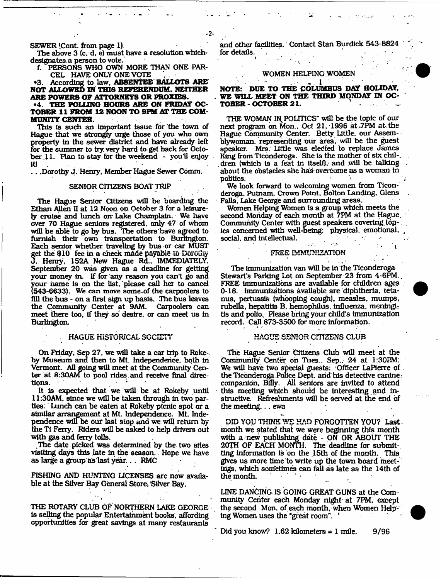- 2-

SEWER (Cont. from page 1).

The above 3 (c. d. e) must have a resolution whichdesignates a person to vote.

f. PERSONS WHO OWN MORE THAN ONE PAR-CEL HAVE ONLY ONE VOTE

•3. According to law, **ABSENTEE BALLOTS ARE NOT ALLOWED IN THIS REFERENDUM, NEITHER ARE POWERS OF ATTORNEYS OR PROXIES.**

**•4. THE POLLING HOURS ARE ON FRIDAY OC-TOBER 11 FROM 12 NOON TO 9PM AT THE COM-MUNITY CENTER.**

This Is such an Important Issue for the town of Hague that we strongly urge those of you who own property in the sewer district and have already left for the summer to try. very hard to get back for October 11, Flan to stay for the weekend - you'll enjoy  $1<sup>th</sup>$ 

.. .Dorothy J. Henry, Member Hague Sewer Comm.

### SENIOR CITIZENS BOAT TRIP

The Hague Senior Citizens will be boarding the Ethan Allen II at 12 Noon on October 3 for a leisurely cruise and lunch on- Lake Champlain. We have over 70 Hague seniors registered, only 47 of whom will be able to go by bus. The others have agreed to furnish their own transportation to Burlington. Each senior whether traveling by bus or car MUST get the \$10 fee in a check made payable to Dorothy J. Henry, 152A New Hague Rd., IMMEDIATELY. September 20 was given as a deadline for getting your money in. If for any reason you can't go and your name Is on the list, please call her to cancel (543-6633), We can move some, of the carpoolers to fill the bus - on a first sign up basis. The bus leaves the Community Center at 9AM. Carpoolers can the Community Center at 9AM. meet there too. If they so" desire, or can meet us In Burlington.

### HAGUE HISTORICAL SOCIETY

On Friday, Sep 27, we will take a car trip to Rokeby Museum and then to Mt. Independence, both in Vermont. All going will meet at the Community Center at 8:30AM to pool rides, and receive final directions.

It Is expected that we will be at Rokeby until 11:30AM, since we will be taken through in two parties: Lunch can be eaten at Rokeby picnic spot or a similar arrangement at Mt. Independence. Mt. Independence will be our last stop and we will return by the Ti Ferry. Riders will be asked to help drivers out with gas and ferry tolls.

The date picked was determined by the two sites visiting days this late In the season.. Hope we have as large a group as last year.. . RMC

FISHING AND HUNTING LICENSES are now available at the Sliver Bay General Store, 'Silver Bay.

THE ROTARY CLUB OF NORTHERN LAKE GEORGE is selling the popular Entertainment books, affording opportunities for great savings at many restaurants

and other facilities. Contact Stan Burdick 543-8824 for details. j en de la posta de la posta de la posta de la posta de la posta de la posta de la posta de la posta de la pos

# WOMEN HELPING WOMEN

 $\cdots$   $\cdots$   $\cdots$   $\cdots$   $\cdots$ **NOTE: DUE TO THE COLUMBUS DAY HOLIDAY,** WE WILL MEET ON THE THIRD MONDAY IN OC-**TOBER - OCTOBER 21. \* .**

THE WOMAN IN, POLITICS" will be the topic of our next program on Mon., Oct 21,-1996 at>7PM at. the Hague Community Center. Betty little, our Assemblywoman. representing our area, will be the guest speaker. Mrs. little was elected to replace James King from Tlconderoga. She Is the mother of six chll-, . dren (which is a feat in itself), and will be talking about the obstacles she has overcome as a woman in politics.

We look forward to welcoming women from Ticonderoga, Putnam, Crown Point, Bolton Landing, Glens Falls. Lake George and surrounding areas.

Women Helping Women is a group which meets the second Monday of each month at 7PM at the Hague Community Center with guest speakers covering, topics concerned with well-being: physical, emotional, social, and intellectual.

#### FREE IMMUNIZATION

■ • i

The Immunization van will be in the Tlconderoga Stewart's Parking Lot on September 23 from 4-6PM.. FREE Immunizations are available for children ages 0-18. Immunizations available are diphtheria, tetanus, pertussis (whooping cough), measles, mumps, rubella, hepatitis B, hemophilus, influenza, menlngl: tts and polio. Please bring your child's immunization record. Call 873-3500 for more Information.

# HAGUE SENIOR CITIZENS CLUB

The Hague Senior Citizens Club will meet at the Community Center on Tues., Sep., 24 at 1:30PM. We will have two special guests: Officer LaPierre of the Ticonderoga Police Dept, and his detective canine. companion, Billy. Ail seniors are invited to attend this meeting which should be interesting and instructive. Refreshments will be served at the end of the meeting... ewa

DID YOU THINK WE HAD FORGOTTEN YOU? Last month we stated that we were beginning this month with a new publishing date - ON OR ABOUT THE 20TH OF EACH MONTH. The deadline for submitting information is on the ,15th of the month. This gives us more time to write up the town board meetings, which sometimes can fallas late as the 14th of the month.

LINE DANCING IS GOING GREAT GUNS at the Community Center each Monday night at 7PM, except the second Mon. of each month, when Women Helping Women uses the "great room".

Did you know?  $1.62$  kilometers = 1 mile. 9/96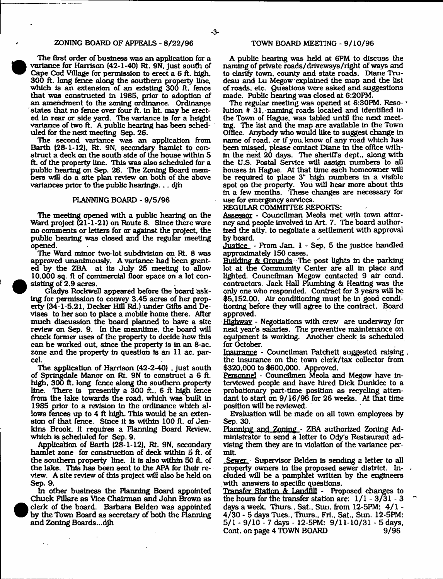# ZONING BOARD OF APPEALS - 8/22/96

The first order of business was an application for a variance for Harrison (42-1-40) Rt. 9N, Just south of Cape Cod Village for permission to erect a 6 ft. high. 300 ft. long fence along the southern property line, which is an extension of an existing 300 ft. fence that was constructed In 1985. prior to adoption of an amendment to the zoning ordinance. Ordinance states that no fence over four ft. In ht. may be erected in rear or side yard. The variance is for a height variance of two ft. A public hearing has been scheduled for the next meeting Sep. 26.

The second variance was an application from Barth (28-1-12), Rt. 9N, secondary hamlet to construct a deck an the south side of the house within 5 ft. of the property line. This was also scheduled for a publi<br>bers<br><mark>vari</mark>a ubhc hearing on Sep. 26. The Zoning Board memers will do a site plan review on both of the above variances prior to the public hearings. .. djh

### PLANNING BOARD - 9/5/96

The meeting opened with a public hearing on the Ward project (21-1-21) on Route 8. Since there were no comments or letters for or against the project, the public hearing was closed and the regular meeting opened.

The Ward minor two-lot subdivision on Rt. 8 was approved unanimously. A variance had been granted by the ZBA at its July 25 meeting to allow 10,000 sq. ft of commercial floor space on a lot consisting of 2.9 acres.

Gladys Rockwell appeared before the board asking for permission to convey 3.45 acres of her property (34-1-5.21, Decker Hill Rd.) under Gifts and Devises to her son to place a mobile home there. After much discussion the board planned to have a site review on Sep. 9. In the meantime, the board will check former uses of the property to decide how this can be worked out, since the property is in an 8-ac. zone and the property in question Is an 11 ac. parcel..

The application of Harrison (42-2-40) . just south of Springdale Manor on Rt. 9N to construct a 6 ft. high, 300 ft. long fence along the southern property line. There is presently a 300 ft., 6 ft high fence from the lake towards the road, which was built In 1985 prior to a revision In the ordinance which allows fences up to 4 ft high. This would be an extension of that fence. Since it is within 100 ft. of Jenkins Brook, It requires a Planning Board Review, which is scheduled for Sep. 9.

Application of Barth (28-1-12), Rt. 9N, secondary hamlet zone for construction of deck within 5 ft. of the southern property line. It Is also within 50 ft. of the lake. This has been sent to the APA for their review. A site review of this project will also be held on Sep. 9.

In other business the Planning Board appointed Chuck Flllare as Vice Chairman and John Brown as clerk of the board. Barbara Belden was appointed by the Town Board as secretary of both the Planning and Zoning Boards...djh

#### TOWN BOARD MEETING - 9/10/96

A public hearing was held at 6PM to discuss the naming of private roads/driveways /right of ways and to clarify town, county and state roads. Diane Trudeau and Lu Megow explained the map and the list of roads, etc. Questions were asked and suggestions made. Public hearing was closed at 6:20PM.

The regular meeting was opened at 6:30PM. Reso- ' lutlon # 31, naming roads located and identified In the Town of Hague, was tabled until the next meeting. The list and the map are available in the Town Office. Anybody who would like to suggest change in name of road, or If you. know of any road which has been missed, please contact Diane In the office within the next 20 days. The sheriffs dept., along with the U.S. Postal Service will assign numbers to all houses in Hague. At that time each homeowner will he required to place 3" high numbers in a visible spot on the property. You will hear more about this in a few months. These changes are necessary for use for emergency services.

REGULAR COMMTTTEE REPORTS:

Assessor - Councilman Meola met with town attorney and people involved In Art. 7. The board authorized the atty. to negotiate a settlement with approval by board.

Justice  $-$  From Jan. 1 - Sep. 5 the justice handled approximately 150 cases.

Building & Grounds-: The post lights In the parking lot at the Community Center are all In place and lighted. Councilman Megow contacted 9 air cond. contractors. Jack Hall Plumbing & Heating was the only one who responded. Contract for 3 years will be \$5,152.00. Air conditioning must be in good conditioning before they will agree to the contract. Board approved.

Highway - Negotiations with crew are underway for next year's salaries. The preventive maintenance on equipment Is working. Another check. Is scheduled for October.

Insurance - Councilman Patchett suggested raising , the insurance on the town clerk/tax collector from \$320,000 to \$600,000. Approved.

Personnel - Coundlmen Meola and Megow have Interviewed people and have hired Dick Dunklee to a probationary part-time position as recycling attendant to start on 9/16/96 for 26 weeks. At that time position will be reviewed.

Evaluation will be made on all town employees by Sep. 30.

Planning and Zoning - ZBA authorized Zoning Administrator to send a letter to Ody's Restaurant advising them they are In violation of the variance permit.

Sewer - Supervisor Belden is sending a letter to all property owners in the proposed sewer district. Included will be a pamphlet written by the engineers with answers to specific questions.

Transfer Station & Landfill - Proposed changes to the hours for the transfer station are:  $1/1 - 3/31 - 3$ days a week, Thurs., Sat., Sun. from 12-5PM: 4/1 - 4/30 - 5 days Tues., Thurs., Fri,, Sat., Sun. 12-5PM: 5/1 - 9/10 - 7 days - 12-5PM: 9/11-10/31 - 5 days, Cont. on page 4 TOWN BOARD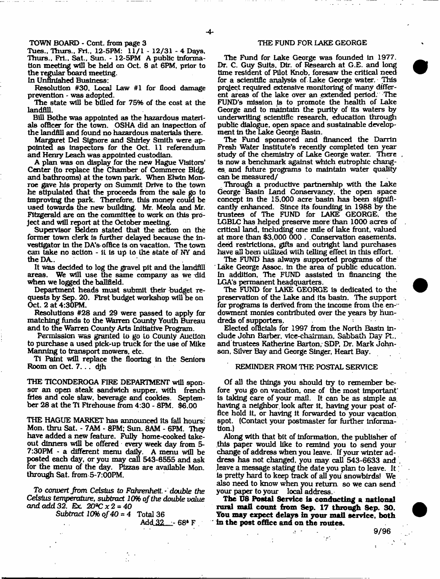TOWN BOARD - Cont. from page 3

Tues., Thurs., Frl., 12-5PM: 11/1 - 12/31 - 4 Days, Thurs., Frl.. Sat., Sun. - 12-5PM A public Information meeting will be held on Oct. 8 at 6PM, prior to the regular board meeting.

In Unfinished Business:

Resolution #30, Local Law #1 for flood damage prevention - was adopted.

The state will be billed for 75% of the cost at the landfill.

Bill Bothe was appointed as the hazardous materials officer for the town. OSHA did an inspection of the landfill and found no hazardous materials there.

Margaret Del Signore and Shirley Smith were appointed as Inspectors for the Oct. 11 referendum and Henry Leach was appointed custodian.

A plan was on display for the new Hague Visitors' Center (to replace the Chamber of Commerce Bldg. and bathrooms) at the town park. Wien Ehvln Monroe gave his property on Summit Drive to the town he stipulated that the proceeds from the sale go to improving the park. Therefore, this money could be used towards the new building. Mr. Meola and Mr. Fitzgerald are on the committee to work on this project and will report at the October meeting.

Supervisor Belden stated that the action on the former town clerk is further delayed because the Investigator In the DA's office is on vacation. The town can take no action - it is up to the state of NY and the DA..

It was decided to log the gravel pit and the landfill areas. We will use the same company as we did when we logged the ballfield.

Department heads must submit their budget requests by Sep. 20. First budget workshop will be on Oct. 2 at 4:30PM.

Resolutions #28 and 29 were passed to apply far matching funds to the Warren County Youth Bureau and to the Warren County Arts Initiative Program.

Permission was granted to go to County Auction to purchase a used pick-up truck for the use of Mike Manning to transport mowers, etc.

T1 Paint will replace the flooring In the Seniors Room on Oct. 7... djh

THE TICONDEROGA FIRE DEPARTMENT will sponsor an open steak sandwich supper, with french fries and cole slaw, beverage and cookies. September 28 at the Ti Flrehouse from 4:30 - 8PM. \$6.00

THE HAGUE MARKET has announced Its fall hours: Mon. thru Sat. - 7AM - 8PM; Sun. 8AM - 6PM. They have added a new feature. Fully home-cooked takeout dinners will be offered every week day from 5-7:30PM - a different menu daily. A menu will be posted each day, or you may call 543-6555 and ask for the menu of the day. Pizzas are available Mon. through Sat. from 5-7:00PM.

*To convert from Celsius to Fahrenheit. • double the Celsius temperature, subtract* 1096 *of the double value and add 32. Ex 20<sup>2</sup>C*  $x^2 = 40$ 

*Subtract 10% of 40-4* Total 36

Add 32 - 68 F

### THE FUND FOR LAKE GEORGE

The Fund for Lake George was founded in 1977. Dr. C. Guy Suits, Dir. of Research at G.E. and long time resident of Pilot Knob, foresaw the critical need for a scientific analysis of Lake George water. This prqlect required extensive monitoring of many different areas of the lake over an extended period. The FUND'S mission is to promote the health of Lake George and to maintain the purity of its waters by underwriting scientific research, education through public dialogue, open space and sustainable development in the Lake George Basin.

The Fund sponsored and financed the Darrin Fresh Water Institute's recently completed ten year study of the chemistry of Lake George water. There is now a benchmark against which eutrophic changes. and future programs to maintain water quality can be measured/

Through a productive partnership with the Lake George Basin Land Conservancy, the open space concept In the 15.000 acre basin has been significantly enhanced. Since its founding In 1988 by the trustees of The FUND for LAKE GEORGE, the LGBLC has helped preserve more than 1000 acres of critical land, including one mile of lake front, valued at more than \$3,000 000 . .Conservation easements, deed restrictions, gifts and outright land purchases have all been utilized with telling effect in this effort.

The FUND has always supported programs of the Lake George Assoc, in the area of public education. In addition. The FUND assisted in financing the LGA's permanent headquarters.

The FUND for LAKE GEORGE is dedicated to the preservation of the Lake and Its basin. The support for programs is derived from the income from the endowment monies contributed over the years by hundreds of supporters .

Elected officials for 1997 from the North Basin include John Barber, vice-chairman. Sabbath Day PL, and trustees Katherine Barton, SDP, Dr. Mark Johnson. Silver Bay and George Singer. Heart Bay.

### REMINDER FROM THE POSTAL SERVICE

Of all the things you should try to remember before you go on vacation, one of the most important is taking care of your mall. It can be as simple as. having a neighbor look after it, having your post office hold it, or having it forwarded to your vacation spot. (Contact your postmaster far further Information.)

Along with that bit of information, the publisher of this paper would like to remind you to send your change of address when you leave. If your winter address has not changed, you may call 543-6633 and . leave a message stating the date you plan to leave. It  $\vdots$ Is pretty hard to keep track of all you snowbirds) We also need to know when you return so we can send your paper to your local address.

The US Postal Service is conducting a national **rural mall count from Sep. 17 through Sep. SO. You may expect delays in your mail service, both In the post office and on the routes.**

 $\mathcal{A}$  .

' 9/96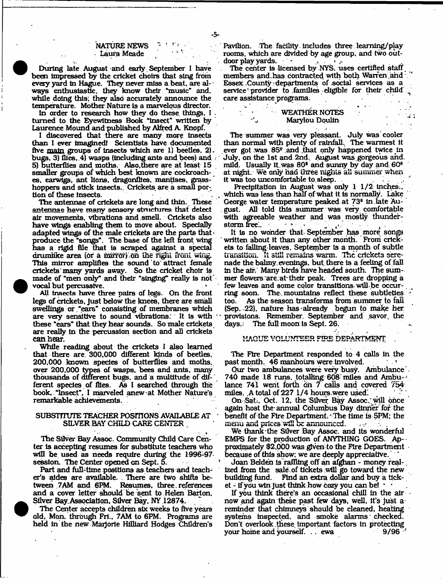# NATURE NEWS FOR SALE • Laura Meade

During late August and early September 1 have been Impressed by the cricket choirs that sing from every yard in Hague. They never miss a beat, are always enthusiastic, they know their "music" and. while doing this: they also accurately announce the temperature. Mother Nature Is a marvdous director.

In order to research how they do these things. I turned to the Eyewitness Book "insect" written by Laurence Mound and published by Alfred A Knopf.

I discovered that there are many more Insects than I ever imagined! Scientists have documented five main groups of insects which are 1) beetles. 2). bugs. 3) files, . 4) wasps (including ants and bees) and *(* 5) butterflies and moths. Also,there are at least 15 smaller groups of which best known are cockroaches. earwigs, ant Hons, dragonflies, mantises, grasshoppers and stick insects. Crickets are a small portion of these Insects.

The antennae of crickets are long and thin. These antennae have many sensory structures that detect air movements, vibrations and smell. Crickets also have wings enabling them to move about. Specially adapted wings of the male crickets are the parts that  $\cdot$ produce the "songs". The base of the left front wing has a rigid file that is scraped against a special drumlike area (or a mirror) on the right front wing. This mirror amplifies the sound to attract female crickets' many yards away. So the cricket choir is made of "men only" and their "singing" really is not vocal but percussive.

All insects have three pairs of legs. On the front legs of crickets, Just below the knees, there are small swellings or "ears\* consisting of membranes which are very sensitive to sound vibrations. It is with these "ears\* that they hear sounds. So male crickets are really In the percussion section and all crickets can hear.

While reading about the crickets I also learned that there are. 300,000 different kinds of beetles, 200,000 known species of butterflies and moths, over 200,000 types of wasps, bees and ants, many thousands of different bugs, and a multitude of dif- \* ferent species of flies. As I searched through the book, "Insect\*, I marveled anew-at Mother Nature's remarkable achievements.

### SUBSTITUTE TEACHER POSITIONS AVAILABLE AT SILVER BAY CHILD CARE CENTER .

The Sliver Bay Assoc. Community Child Care Center Is accepting resumes for substitute teachers who will be used as needs require during the 1996-97. session. The Center opened on Sept. 5,

Part and full-time positions as teachers and teacher's aides are available. . There are two shifts between 7AM and 6PM. Resumes, three.references and a cover letter should be sent to Helen Barton. Silver Bay Association, Silver Bay, NY 12874,

The Center accepts children six weeks to five years old, Mon. through Fri., 7AM to 6PM. Programs are held in the new Marjorie Hilliard Hodges Children's Pavilion. The facility includes three learning/play rooms, which are divided by age group, and two outdoor play yards.

The center is licensed by NYS, uses certified staff members and has contracted with both Warren and Essex .County: departments of social services as a service' provider to families eligible for their child care assistance programs.

### **WEATHER NOTES** Marylou Doulin

The summer was very pleasant. July was cooler than normal with plenty of rainfall. The warmest it ever got was 85® and that only happened twice In July, on the 1st and 2nd. August was,gorgeous and. mild. Usually it, was 80\* and sunny by day and 60s at night. We only had three nights all summer when it was too uncomfortable to sleep.

Precipitation in August was only 1 1/2 Inches;, which was less than half of what it is normally. Lake George water temperature peaked at 73° In late Au~ . gust. All told this summer was very comfortable with agreeable weather and was mostly thunderstorm free.,  $\mathcal{L}_{\mathcal{A}} = \{ \begin{bmatrix} 1 & 0 & 0 \\ 0 & 0 & 0 \end{bmatrix}, \mathcal{A}_{\mathcal{A}} \}$  . The set of  $\mathcal{A}$ 

It Is no wonder that September has more songs ' written about it than any other month. From crickets to falling leaves, September Is a month of subtle transition. It still remains warm. The crickets serenade the balmy,evenings, but there Is a feeling of fall in the air. Many birds nave headed south. The summer flowers are at their peak. Trees are dropping a few leaves and some color transitions will be occurring soon. The mountains reflect these subtleties too. As the season transforms from summer to fall (Sep. 22). nature has already begun to make her, • provisions. Remember. September and .savor, the days..: The full moon is Sept. 26.

### HAGUE VOLUNTEER FIRE DEPARTMENT

The Fire Department responded to 4 calls in the past month. 46 manhours were Involved. 1

Our two ambulances were very busy. Ambulance 740 made 18 runs, totalling 608 miles and Ambulance 741 went forth on  $\overline{7}$  calls and covered  $754$ miles. A total of 227 1/4 hours.were used.

On Sat., Oct. 12, the Silver Bay Assoc.<sup>-</sup> will once again host the annual Columbus Day dinner for the benefit of the Fire Department: ' The time **is** SPM; the menu and prices will be announced.

We thank the Silver Bay Assoc, and its wonderful EMPS for the production of ANYTHING GOES. Ap- • praxlmatdy \$2,000 was given to the Fire Department because of this show: we are deeply appreciative.

' Joan Belden is raffling off an afghan - money real-. lzed from the sale of tickets will go toward the new building fund. Find an extra dollar and buy a ticket - if you win just think how cozy you can be!  $\cdot \cdot$ 

If you think there's an occasional chill in the air now and again these past few days, well, It's Just a reminder that chimneys should be cleaned, heating systems inspected, and smoke alarms checked. Don't overlook these important factors in protecting<br>your home and vourself.... ewa your home and yourself. . . ewa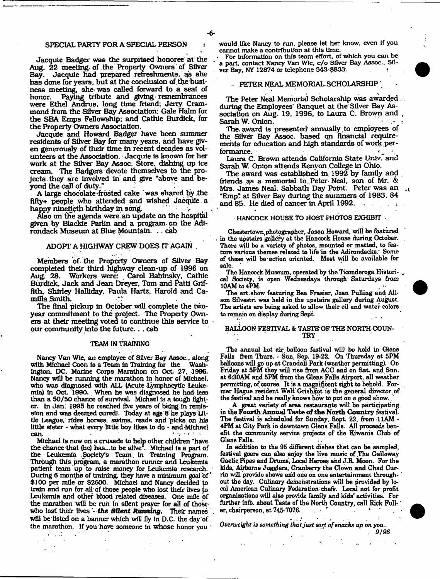#### SPECIAL PARTY FOR A SPECIAL PERSON

Jacquie Badger was the surprised honoree at the Aug. 22 meeting of the Property Owners of Silver Bay. Jacquie had prepared refreshments, as she has done for years, but at the conclusion of the business meeting, she was called forward to a seat of honor. Paying tribute and giving remembrances were Ethel Andrus, long time friend; Jerry Crammond from the Silver Bay Association; Gale Halm for the SBA Emps Fellowship; and Cathie Burdick, for the Property Owners Association.

Jacquie and Howard Badger have been summer residents of Silver Bay for many years, and have given generously of their time In recent decades as volunteers at the Association. Jacquie Is known for her work at the Silver Bay Assoc. Store, dishing up ice cream. The Badgers devote themselves to the projects they aire involved in and give "above and beyond the call of duty."

A large chocolate-frosted cake was shared by the fifty-\*- people who attended and wished .Jacquie a happy ninetieth birthday in song.

Also on the agenda were an update on the hospital given by Blackle Parlln and a program, on the Adirondack Museum at Blue Mountain. .. cab

### ADOPT A HIGHWAY CREW DOES IT AGAIN .

Members of the Property Owners of Silver Bay completed their third highway clean-up of 1996 on Aug. 28. Workers were: Carol Babinsky, Cathie Burdick. Jack and Jean Dreyer, Tom and Patti Griffith, Shirley HaHlday. Paula Hartz, Harold and Camilla Smith, V

The final pickup in October will complete the twoyear commitment to the project. The Property Owners at their meeting voted to continue this service to our community Into the future.. . cab

### TEAM IN TRAINING

Nancy Van Wle, an employee of Silver Bay Assoc., along with Michael Coon Is a Team In Training for the Washington. DC. Marine Corps Marathon on Oct. 27, 1996. Nancy will be running the marathon in honor of Michael, who was diagnosed with ALL (Acute Lymphocytic Leukemia) in Oct. 1990. When he was diagnosed he had less than a 50/50 chance of survival. Michael Is a tough fighter. In Jan; 1995 he reached five years of being In remission and was deemed cured!. Today at age 8 he plays Little League, rides horses, swims, reads and picks on his little sister - what every little boy likes to do - and Michael can.

Michael Is now on a crusade to help other children "have the chance that (he), has...to be alive". Michael Is a part of the Leukemia .Society's Team in Training Program. Through this program, a marathon runner and Leukemia patient team up to raise money for Leukemia research. During 6 months of training, they have a minimum goal of \$100 per mile or \$2600. Michael and Nancy decided to train and run for all- of those people who lost their lives **Jo** Leukemia and other blood related diseases. One mile pf the marathon will be run in silent prayer for all of those who lost their lives - **the Slient Running.** Their names will be listed on a banner which will fly in D.C. the day'of the marathon. If you have someone in whose honor you

would like Nancy to run. please let her know, even if you cannot make a contribution at this time.

• For Information on this team effort, of which you can be a part, contact Nancy Van Wie, c/o Silver Bay Assoc., Silver Bay, NY 12874 or telephone 543-8833.

### - PETER NEAL MEMORIAL. SCHOLARSHIP '

The Peter Neal Memorial Scholarship was awarded during the Employees' Banquet at the Silver Bay Association on Aug. 19, 1996, to Laura C. Brown and . Sarah W. Onion.

The, award la presented annually to employees of the Silver Bay Assoc, based on financial requirements for education and high standards of work performance.

Laura C. Brown attends California State Univ. and Sarah W. Onion attends Kenyon College In Ohio.

The award was established in 1992 by family and friends as a memorial to Peter-Neal, son of Mr. & Mrs. James Neal, Sabbath Day Point. Peter was an , "Emp." at Sliver Bay during the summers of 1983, 84 and 85. He died of cancer in April 1992.

### HANCOCK HOUSE TO HOST PHOTOS EXHIBIT

Chestertown. photographer, Jason Howard, will be featured . in the upstairs gallery at the Hancock House during October. There will be a variety of photos, mounted or matted, to feature various themes related to life in the Adirondacks.' Some of these will be action oriented. Most wifi be available for sale.

The Hancock Museum, operated by the Ticonderoga Historical Society, is open Wednesdays through Saturdays from 10AM to  $4PM$ .

The art show featuring Bea Frasier, Joan Pulling and Alison Silvestri was held in the upstairs gallery during August. The artists are being asked to allow their oil and water colors to remain on display during Sept

### BALLOON FESTIVAL & TASTE OF. THE NORTH COUN-TRY

The annual hot air balloon festival will be held in Glens Falls from Thurs. - Sun, Sep. 19-22. On Thursday at 5PM balloons will go up at Crandall Park (weather permitting). On Friday at 5PM they will rise from ACC and on Sat. and Sun. at 6:30AM and 5PM from the Glens Falls Airport, all weather permitting, of course. It is a magnificent sight to behold. Former Hague resident Walt GrishKot ib the general director of the festival and he really knows how to put on a good show..

A great variety of area restaurants will be participating in the Fourth Annual Taste of the North Country festival. The festival is scheduled for Sunday, Sept. 22, from 11AM -4PM at City Park in downtown Glens Falls. All proceeds benefit the community service projects of the Kiwanis Club of Glens Falls.

In addition to the 95 different dishes that can be sampled, festival goers can also enjoy the live music of The Galloway Gaelic Pipes and Drums, Local Heroes and J.R. Moon. For the hida, Airborne Jugglers, Cranberry the Clown and Chad Currin will provide shows and one on one entertainment throughout the day. Culinary demonstrations will be provided by local American Culinary Federation: chefs. Local not for profit organizations will also provide family and kids' activities. For further info, about Taste of the North Country, call Rick Fuller, chairperson, at 745-7076.

*Overweight is something that juetsort of snacks up on you.. . 9 /96*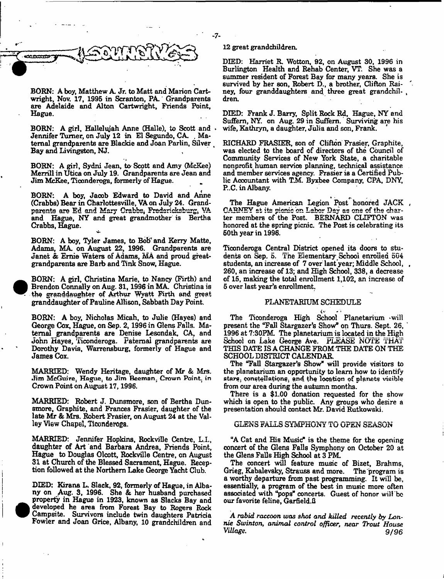$-7-$ 

BORN: A boy, Matthew A. Jr. to Matt and Marion Cartwright, Nov. 17, 1995 in Scranton, PA. Grandparents are Adelaide and Alton Cartwright, Friends Point, Hague.

 $\alpha$ 

BORN: A girl, Hallelujah Anne (Halle), to Scott and  $\cdot$ Jennifer Turner, on July 12 in El Segundo, CA. . Maternal grandparents are Blackie and Joan Parlin, Silver Bay and Livingston, NJ.

BORN: A girl, Sydni Jean, to Scott and Amy (McKee) Merrill in Utica on July 19. Grandparents are Jean and Jim McKee, Tioonderoga, formerly of Hague.

BORN: A boy, Jacob Edward to David and Anne (Crabbs) Bear in Charlottesville, VA on July 24. Grandparents are Ed and Mary Crabbs, Fredericksburg, VA and Hague, NY and great grandmother is Bertha Crabbs, Hague.

BORN: A boy, Tyler James, to Bob' and Kerry Matte, Adams, MA on August 22, 1996. Grandparents are Janet & Ernie Waters of Adams, MA and proud greatgrandparents are Barb and Tink Snow, Hague.

BORN: A girl, Christina Marie, to Nancy (Firth) and Brendon Connally on Aug. 31,1996 in MA. Christina is the granddaughter of Arthur Wyatt Firth and great granddaughter of Pauline Allison, Sabbath Day Point.

BORN: A boy, Nicholas Micah, to Julie (Hayes) and George Cox, Hague, on Sep. 2,1996 in Glens Falls. Maternal grandparents are Denise Lesondak, CA, and John Hayes, Ticonderoga. Paternal grandparents are Dorothy Davis, Warrensburg, formerly of Hague and James Cox.

MARRIED: Wendy Heritage, daughter of Mr & Mrs. Jim McGuire: Hague, to Jim Beeman. Crown Point, in Crown Point on August 17,1996.

MARRIED: Robert J. Dunsmore, son of Bertha Dunsmore. Graphite, and Frances Frasier, daughter of the late Mr & Mrs. Robert Frasier, on August 24 at the Valley View Chapel, Ticonderoga.

MARRIED: Jennifer Hopkins, Rockville Centre, L.I., daughter of Art and Barbara Andrea, Friends Point, Hague to Douglas Olcott, Rockville Centre, on August 31 at Church of the Blessed Sacrament, Hague. Reception followed at the Northern Lake George Yacht Club.

DIED: Kirana L. 81ack, 92, formerly of Hague, in Albany on Aug. 3, 1996. She & her husband purchased property in Hague in 1923, known as Slacks Bay and developed he area from Forest Bay to Rogers Rock Campsite. Survivors include twin daughters Patricia Fowler and Joan Grice, Albany, 10 grandchildren and 12 great grandchildren.

DIED: Harriet R. Wotton, 92, on August SO, 1996 in Burlington Health and Rehab Center, VT. She was a summer resident of Forest Bay for many years. She is survived by her son, Robert D., a brother, Clifton Rainey, four granddaughters and three great grandchildren.

DIED: Frank J. Barry, Split Rock Rd, Hague, NY and Suffem, NY. on Aug. 29 in Suffem. Surviving are his wife, Kathryn, a daughter, Julia and son, Frank.

RICHARD FRASIER, son of Clifton Frasier, Graphite, was elected to the board of directors of the Council of Community Services of New York State, a charitable nonprofit human service planning, technical assistance and member services agency. Frasier is a Certified Public Accountant with TM. Byxbee Company, CPA, DNY, P..C. in Albany.

The Hague American Legion Post honored JACK. GARNEY at its manic on Labor Day as one of the charter members of the Post. BERNARD CLIFTON was honored at the spring picnic. The Post is celebrating its 50th year in 1996.

Tioonderoga Central District opened its doors to students on Sep. 5. The Elementary School enrolled 504 students, an increase of 7 over last year; Middle School, 260, an increase of 13; and High School, 338, a decrease of 15, making the total enrollment 1,102, an increase of 5 over last year's enrollment.

### PLANETARIUM SCHEDULE

The Ticonderoga High School Planetarium -will present the "Fall Stargazer's Show\* on Thurs. Sept. 26, 1996 at 7:30PM. The planetarium is located in the High School on Lake George Ave. PLEASE NOTE THAT THIS DATE IS A CHANGE FROM THE DATE ON THE SCHOOL DISTRICT CALENDAR.

The "Fall Stargazer's Show\* will provide visitors to the planetarium an opportunity to learn how to identify stars, constellations, and the location of planets visible from our area during the autumn months.

There is a \$1.00 donation requested for the show which is open to the public. Any groups who desire a presentation should contact Mr. David Rutkowski.

### GLENS FALLS SYMPHONY TO OPEN SEASON

"A Cat and His Music\* is the theme for the opening concert of the Glens Falls Symphony on October 20 at the Glens Falls High School at 3 PM.

The concert will feature music of Bizet, Brahms, Grieg, Kabalevsky, Strauss and more. The program is a worthy departure from past programming. It will be, essentially, a program of the best in music more often associated with "pops" concerts. Guest of honor will be our favorite feline, Garfield.fi

*A rabid raccoon was shot and kilted recently by Lonnie Swinton, animal control officer, near TYout House Village***.** *Q/96*